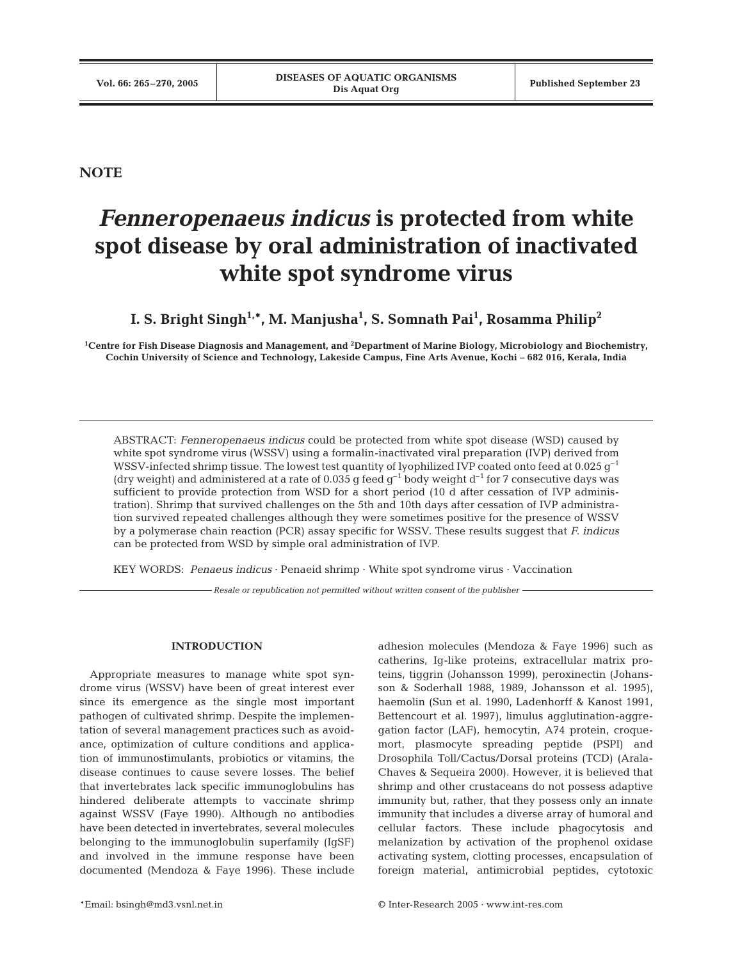**NOTE**

# *Fenneropenaeus indicus* **is protected from white spot disease by oral administration of inactivated white spot syndrome virus**

**I. S. Bright Singh1,\*, M. Manjusha1 , S. Somnath Pai1 , Rosamma Philip2**

**1 Centre for Fish Disease Diagnosis and Management, and 2 Department of Marine Biology, Microbiology and Biochemistry, Cochin University of Science and Technology, Lakeside Campus, Fine Arts Avenue, Kochi – 682 016, Kerala, India**

ABSTRACT: *Fenneropenaeus indicus* could be protected from white spot disease (WSD) caused by white spot syndrome virus (WSSV) using a formalin-inactivated viral preparation (IVP) derived from WSSV-infected shrimp tissue. The lowest test quantity of lyophilized IVP coated onto feed at  $0.025\,\mathrm{g}^{-1}$ (dry weight) and administered at a rate of 0.035 g feed  $g^{-1}$  body weight  $d^{-1}$  for 7 consecutive days was sufficient to provide protection from WSD for a short period (10 d after cessation of IVP administration). Shrimp that survived challenges on the 5th and 10th days after cessation of IVP administration survived repeated challenges although they were sometimes positive for the presence of WSSV by a polymerase chain reaction (PCR) assay specific for WSSV. These results suggest that *F. indicus* can be protected from WSD by simple oral administration of IVP.

KEY WORDS: *Penaeus indicus* · Penaeid shrimp · White spot syndrome virus · Vaccination

*Resale or republication not permitted without written consent of the publisher*

# **INTRODUCTION**

Appropriate measures to manage white spot syndrome virus (WSSV) have been of great interest ever since its emergence as the single most important pathogen of cultivated shrimp. Despite the implementation of several management practices such as avoidance, optimization of culture conditions and application of immunostimulants, probiotics or vitamins, the disease continues to cause severe losses. The belief that invertebrates lack specific immunoglobulins has hindered deliberate attempts to vaccinate shrimp against WSSV (Faye 1990). Although no antibodies have been detected in invertebrates, several molecules belonging to the immunoglobulin superfamily (IgSF) and involved in the immune response have been documented (Mendoza & Faye 1996). These include

gation factor (LAF), hemocytin, A74 protein, croquemort, plasmocyte spreading peptide (PSPI) and Drosophila Toll/Cactus/Dorsal proteins (TCD) (Arala-Chaves & Sequeira 2000). However, it is believed that shrimp and other crustaceans do not possess adaptive immunity but, rather, that they possess only an innate immunity that includes a diverse array of humoral and cellular factors. These include phagocytosis and melanization by activation of the prophenol oxidase activating system, clotting processes, encapsulation of foreign material, antimicrobial peptides, cytotoxic

adhesion molecules (Mendoza & Faye 1996) such as catherins, Ig-like proteins, extracellular matrix proteins, tiggrin (Johansson 1999), peroxinectin (Johansson & Soderhall 1988, 1989, Johansson et al. 1995), haemolin (Sun et al. 1990, Ladenhorff & Kanost 1991, Bettencourt et al. 1997), limulus agglutination-aggre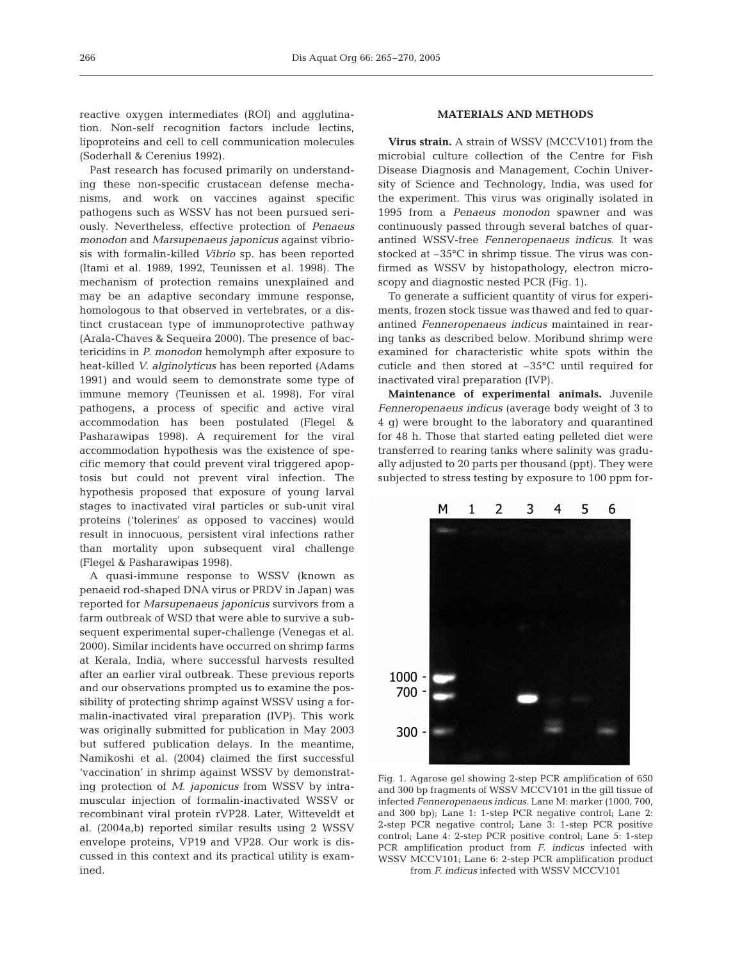reactive oxygen intermediates (ROI) and agglutination. Non-self recognition factors include lectins, lipoproteins and cell to cell communication molecules (Soderhall & Cerenius 1992).

Past research has focused primarily on understanding these non-specific crustacean defense mechanisms, and work on vaccines against specific pathogens such as WSSV has not been pursued seriously. Nevertheless, effective protection of *Penaeus monodon* and *Marsupenaeus japonicus* against vibriosis with formalin-killed *Vibrio* sp. has been reported (Itami et al. 1989, 1992, Teunissen et al. 1998). The mechanism of protection remains unexplained and may be an adaptive secondary immune response, homologous to that observed in vertebrates, or a distinct crustacean type of immunoprotective pathway (Arala-Chaves & Sequeira 2000). The presence of bactericidins in *P. monodon* hemolymph after exposure to heat-killed *V. alginolyticus* has been reported (Adams 1991) and would seem to demonstrate some type of immune memory (Teunissen et al. 1998). For viral pathogens, a process of specific and active viral accommodation has been postulated (Flegel & Pasharawipas 1998). A requirement for the viral accommodation hypothesis was the existence of specific memory that could prevent viral triggered apoptosis but could not prevent viral infection. The hypothesis proposed that exposure of young larval stages to inactivated viral particles or sub-unit viral proteins ('tolerines' as opposed to vaccines) would result in innocuous, persistent viral infections rather than mortality upon subsequent viral challenge (Flegel & Pasharawipas 1998).

A quasi-immune response to WSSV (known as penaeid rod-shaped DNA virus or PRDV in Japan) was reported for *Marsupenaeus japonicus* survivors from a farm outbreak of WSD that were able to survive a subsequent experimental super-challenge (Venegas et al. 2000). Similar incidents have occurred on shrimp farms at Kerala, India, where successful harvests resulted after an earlier viral outbreak. These previous reports and our observations prompted us to examine the possibility of protecting shrimp against WSSV using a formalin-inactivated viral preparation (IVP). This work was originally submitted for publication in May 2003 but suffered publication delays. In the meantime, Namikoshi et al. (2004) claimed the first successful 'vaccination' in shrimp against WSSV by demonstrating protection of *M. japonicus* from WSSV by intramuscular injection of formalin-inactivated WSSV or recombinant viral protein rVP28. Later, Witteveldt et al. (2004a,b) reported similar results using 2 WSSV envelope proteins, VP19 and VP28. Our work is discussed in this context and its practical utility is examined.

## **MATERIALS AND METHODS**

**Virus strain.** A strain of WSSV (MCCV101) from the microbial culture collection of the Centre for Fish Disease Diagnosis and Management, Cochin University of Science and Technology, India, was used for the experiment. This virus was originally isolated in 1995 from a *Penaeus monodon* spawner and was continuously passed through several batches of quarantined WSSV-free *Fenneropenaeus indicus*. It was stocked at –35°C in shrimp tissue. The virus was confirmed as WSSV by histopathology, electron microscopy and diagnostic nested PCR (Fig. 1).

To generate a sufficient quantity of virus for experiments, frozen stock tissue was thawed and fed to quarantined *Fenneropenaeus indicus* maintained in rearing tanks as described below. Moribund shrimp were examined for characteristic white spots within the cuticle and then stored at –35°C until required for inactivated viral preparation (IVP).

**Maintenance of experimental animals.** Juvenile *Fenneropenaeus indicus* (average body weight of 3 to 4 g) were brought to the laboratory and quarantined for 48 h. Those that started eating pelleted diet were transferred to rearing tanks where salinity was gradually adjusted to 20 parts per thousand (ppt). They were subjected to stress testing by exposure to 100 ppm for-



Fig. 1. Agarose gel showing 2-step PCR amplification of 650 and 300 bp fragments of WSSV MCCV101 in the gill tissue of infected *Fenneropenaeus indicus*. Lane M: marker (1000, 700, and 300 bp); Lane 1: 1-step PCR negative control; Lane 2: 2-step PCR negative control; Lane 3: 1-step PCR positive control; Lane 4: 2-step PCR positive control; Lane 5: 1-step PCR amplification product from *F. indicus* infected with WSSV MCCV101; Lane 6: 2-step PCR amplification product from *F. indicus* infected with WSSV MCCV101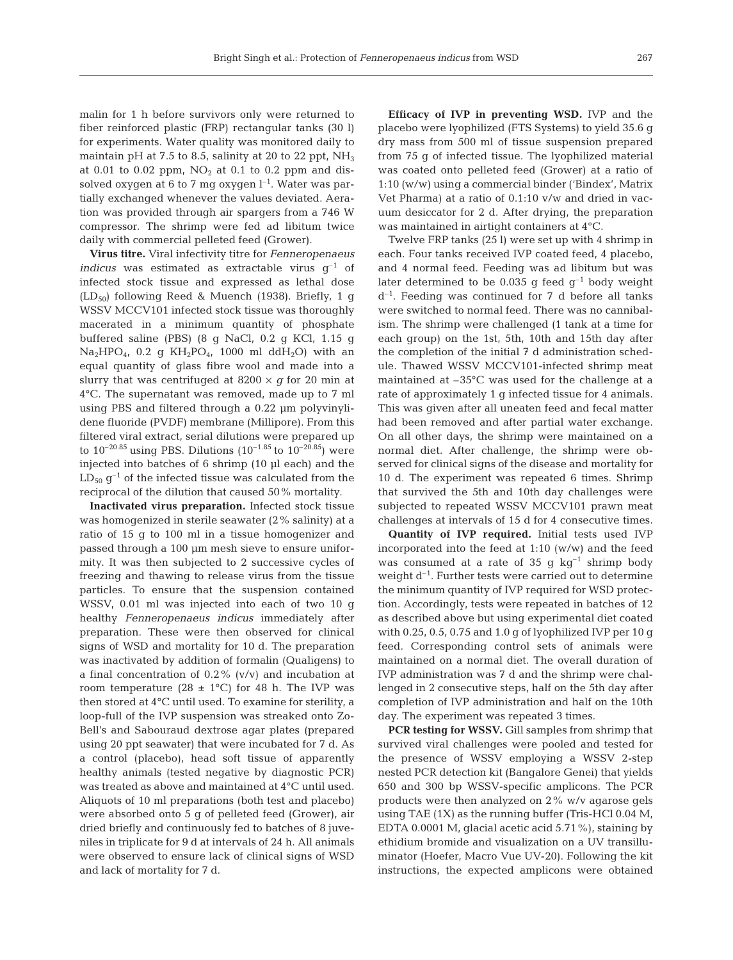malin for 1 h before survivors only were returned to fiber reinforced plastic (FRP) rectangular tanks (30 l) for experiments. Water quality was monitored daily to maintain pH at 7.5 to 8.5, salinity at 20 to 22 ppt,  $NH<sub>3</sub>$ at 0.01 to 0.02 ppm,  $NO<sub>2</sub>$  at 0.1 to 0.2 ppm and dissolved oxygen at 6 to 7 mg oxygen  $l^{-1}$ . Water was partially exchanged whenever the values deviated. Aeration was provided through air spargers from a 746 W compressor. The shrimp were fed ad libitum twice daily with commercial pelleted feed (Grower).

**Virus titre.** Viral infectivity titre for *Fenneropenaeus indicus* was estimated as extractable virus  $g^{-1}$  of infected stock tissue and expressed as lethal dose  $(LD_{50})$  following Reed & Muench (1938). Briefly, 1 g WSSV MCCV101 infected stock tissue was thoroughly macerated in a minimum quantity of phosphate buffered saline (PBS) (8 g NaCl, 0.2 g KCl, 1.15 g  $Na<sub>2</sub>HPO<sub>4</sub>$ , 0.2 g  $KH<sub>2</sub>PO<sub>4</sub>$ , 1000 ml ddH<sub>2</sub>O) with an equal quantity of glass fibre wool and made into a slurry that was centrifuged at  $8200 \times g$  for 20 min at 4°C. The supernatant was removed, made up to 7 ml using PBS and filtered through a 0.22 µm polyvinylidene fluoride (PVDF) membrane (Millipore). From this filtered viral extract, serial dilutions were prepared up to  $10^{-20.85}$  using PBS. Dilutions  $(10^{-1.85}$  to  $10^{-20.85})$  were injected into batches of 6 shrimp (10 µl each) and the  $LD_{50}$  g<sup>-1</sup> of the infected tissue was calculated from the reciprocal of the dilution that caused 50% mortality.

**Inactivated virus preparation.** Infected stock tissue was homogenized in sterile seawater (2% salinity) at a ratio of 15 g to 100 ml in a tissue homogenizer and passed through a 100 µm mesh sieve to ensure uniformity. It was then subjected to 2 successive cycles of freezing and thawing to release virus from the tissue particles. To ensure that the suspension contained WSSV, 0.01 ml was injected into each of two 10 g healthy *Fenneropenaeus indicus* immediately after preparation. These were then observed for clinical signs of WSD and mortality for 10 d. The preparation was inactivated by addition of formalin (Qualigens) to a final concentration of 0.2% (v/v) and incubation at room temperature (28  $\pm$  1°C) for 48 h. The IVP was then stored at 4°C until used. To examine for sterility, a loop-full of the IVP suspension was streaked onto Zo-Bell's and Sabouraud dextrose agar plates (prepared using 20 ppt seawater) that were incubated for 7 d. As a control (placebo), head soft tissue of apparently healthy animals (tested negative by diagnostic PCR) was treated as above and maintained at 4°C until used. Aliquots of 10 ml preparations (both test and placebo) were absorbed onto 5 g of pelleted feed (Grower), air dried briefly and continuously fed to batches of 8 juveniles in triplicate for 9 d at intervals of 24 h. All animals were observed to ensure lack of clinical signs of WSD and lack of mortality for 7 d.

**Efficacy of IVP in preventing WSD.** IVP and the placebo were lyophilized (FTS Systems) to yield 35.6 g dry mass from 500 ml of tissue suspension prepared from 75 g of infected tissue. The lyophilized material was coated onto pelleted feed (Grower) at a ratio of 1:10 (w/w) using a commercial binder ('Bindex', Matrix Vet Pharma) at a ratio of 0.1:10 v/w and dried in vacuum desiccator for 2 d. After drying, the preparation was maintained in airtight containers at 4°C.

Twelve FRP tanks (25 l) were set up with 4 shrimp in each. Four tanks received IVP coated feed, 4 placebo, and 4 normal feed. Feeding was ad libitum but was later determined to be 0.035 g feed  $q^{-1}$  body weight  $d^{-1}$ . Feeding was continued for 7 d before all tanks were switched to normal feed. There was no cannibalism. The shrimp were challenged (1 tank at a time for each group) on the 1st, 5th, 10th and 15th day after the completion of the initial 7 d administration schedule. Thawed WSSV MCCV101-infected shrimp meat maintained at –35°C was used for the challenge at a rate of approximately 1 g infected tissue for 4 animals. This was given after all uneaten feed and fecal matter had been removed and after partial water exchange. On all other days, the shrimp were maintained on a normal diet. After challenge, the shrimp were observed for clinical signs of the disease and mortality for 10 d. The experiment was repeated 6 times. Shrimp that survived the 5th and 10th day challenges were subjected to repeated WSSV MCCV101 prawn meat challenges at intervals of 15 d for 4 consecutive times.

**Quantity of IVP required.** Initial tests used IVP incorporated into the feed at 1:10 (w/w) and the feed was consumed at a rate of 35 g  $kg^{-1}$  shrimp body weight  $d^{-1}$ . Further tests were carried out to determine the minimum quantity of IVP required for WSD protection. Accordingly, tests were repeated in batches of 12 as described above but using experimental diet coated with 0.25, 0.5, 0.75 and 1.0 g of lyophilized IVP per 10 g feed*.* Corresponding control sets of animals were maintained on a normal diet. The overall duration of IVP administration was 7 d and the shrimp were challenged in 2 consecutive steps, half on the 5th day after completion of IVP administration and half on the 10th day. The experiment was repeated 3 times.

**PCR testing for WSSV.** Gill samples from shrimp that survived viral challenges were pooled and tested for the presence of WSSV employing a WSSV 2-step nested PCR detection kit (Bangalore Genei) that yields 650 and 300 bp WSSV-specific amplicons. The PCR products were then analyzed on 2% w/v agarose gels using TAE (1X) as the running buffer (Tris-HCl 0.04 M, EDTA 0.0001 M, glacial acetic acid 5.71%), staining by ethidium bromide and visualization on a UV transilluminator (Hoefer, Macro Vue UV-20). Following the kit instructions, the expected amplicons were obtained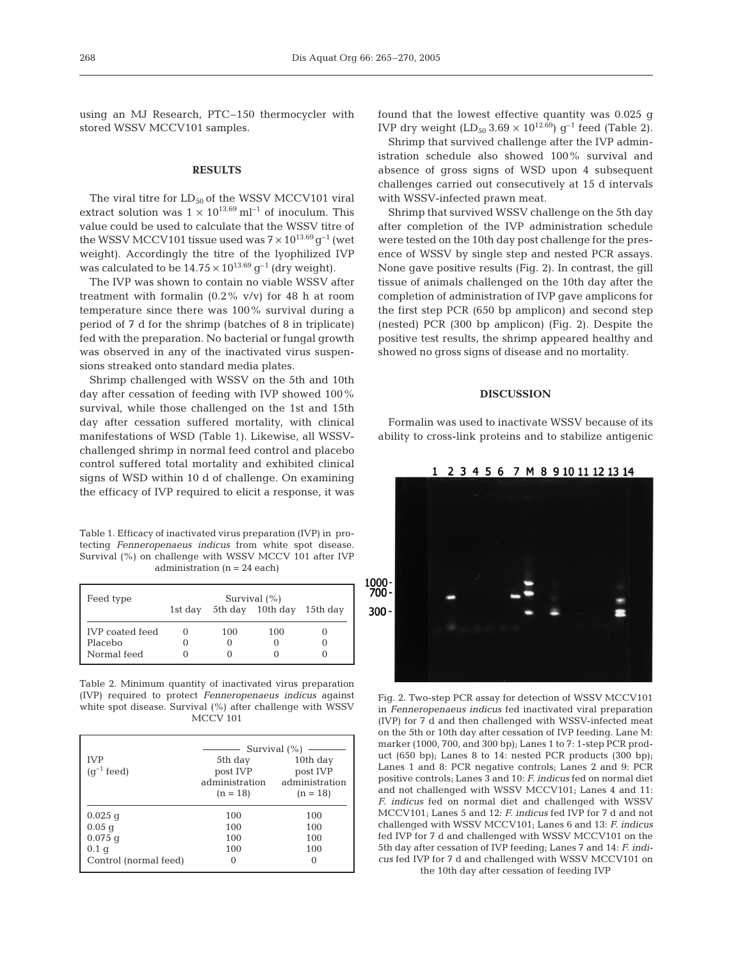using an MJ Research, PTC–150 thermocycler with stored WSSV MCCV101 samples.

#### **RESULTS**

The viral titre for  $LD_{50}$  of the WSSV MCCV101 viral extract solution was  $1 \times 10^{13.69}$  ml<sup>-1</sup> of inoculum. This value could be used to calculate that the WSSV titre of the WSSV MCCV101 tissue used was  $7 \times 10^{13.69}$  g<sup>-1</sup> (wet weight). Accordingly the titre of the lyophilized IVP was calculated to be  $14.75 \times 10^{13.69}$  g<sup>-1</sup> (dry weight).

The IVP was shown to contain no viable WSSV after treatment with formalin  $(0.2\%$  v/v) for 48 h at room temperature since there was 100% survival during a period of 7 d for the shrimp (batches of 8 in triplicate) fed with the preparation. No bacterial or fungal growth was observed in any of the inactivated virus suspensions streaked onto standard media plates.

Shrimp challenged with WSSV on the 5th and 10th day after cessation of feeding with IVP showed 100% survival, while those challenged on the 1st and 15th day after cessation suffered mortality, with clinical manifestations of WSD (Table 1). Likewise, all WSSVchallenged shrimp in normal feed control and placebo control suffered total mortality and exhibited clinical signs of WSD within 10 d of challenge. On examining the efficacy of IVP required to elicit a response, it was

Table 1. Efficacy of inactivated virus preparation (IVP) in protecting *Fenneropenaeus indicus* from white spot disease. Survival (%) on challenge with WSSV MCCV 101 after IVP administration  $(n = 24 \text{ each})$ 

| Feed type                                        | Survival $(\% )$<br>5th day 10th day 15th day<br>1st dav |     |     |  |
|--------------------------------------------------|----------------------------------------------------------|-----|-----|--|
| <b>IVP</b> coated feed<br>Placebo<br>Normal feed |                                                          | 100 | 100 |  |

Table 2. Minimum quantity of inactivated virus preparation (IVP) required to protect *Fenneropenaeus indicus* against white spot disease. Survival (%) after challenge with WSSV MCCV 101

|                         | Survival $(\%)$ |                |  |
|-------------------------|-----------------|----------------|--|
| <b>TVP</b>              | 5th day         | 10th day       |  |
| $(q^{-1} \text{ feed})$ | post IVP        | post IVP       |  |
|                         | administration  | administration |  |
|                         | $(n = 18)$      | $(n = 18)$     |  |
| $0.025$ q               | 100             | 100            |  |
| $0.05$ q                | 100             | 100            |  |
| $0.075$ q               | 100             | 100            |  |
| 0.1 <sub>q</sub>        | 100             | 100            |  |
| Control (normal feed)   |                 |                |  |

found that the lowest effective quantity was 0.025 g IVP dry weight  $(LD_{50} 3.69 \times 10^{12.69})$  g<sup>-1</sup> feed (Table 2).

Shrimp that survived challenge after the IVP administration schedule also showed 100% survival and absence of gross signs of WSD upon 4 subsequent challenges carried out consecutively at 15 d intervals with WSSV-infected prawn meat.

Shrimp that survived WSSV challenge on the 5th day after completion of the IVP administration schedule were tested on the 10th day post challenge for the presence of WSSV by single step and nested PCR assays. None gave positive results (Fig. 2). In contrast, the gill tissue of animals challenged on the 10th day after the completion of administration of IVP gave amplicons for the first step PCR (650 bp amplicon) and second step (nested) PCR (300 bp amplicon) (Fig. 2). Despite the positive test results, the shrimp appeared healthy and showed no gross signs of disease and no mortality.

## **DISCUSSION**

Formalin was used to inactivate WSSV because of its ability to cross-link proteins and to stabilize antigenic



Fig. 2. Two-step PCR assay for detection of WSSV MCCV101 in *Fenneropenaeus indicus* fed inactivated viral preparation (IVP) for 7 d and then challenged with WSSV-infected meat on the 5th or 10th day after cessation of IVP feeding. Lane M: marker (1000, 700, and 300 bp); Lanes 1 to 7: 1-step PCR product (650 bp); Lanes 8 to 14: nested PCR products (300 bp); Lanes 1 and 8: PCR negative controls; Lanes 2 and 9: PCR positive controls; Lanes 3 and 10: *F. indicus* fed on normal diet and not challenged with WSSV MCCV101; Lanes 4 and 11: *F. indicus* fed on normal diet and challenged with WSSV MCCV101; Lanes 5 and 12: *F. indicus* fed IVP for 7 d and not challenged with WSSV MCCV101; Lanes 6 and 13: *F. indicus* fed IVP for 7 d and challenged with WSSV MCCV101 on the 5th day after cessation of IVP feeding; Lanes 7 and 14: *F. indicus* fed IVP for 7 d and challenged with WSSV MCCV101 on the 10th day after cessation of feeding IVP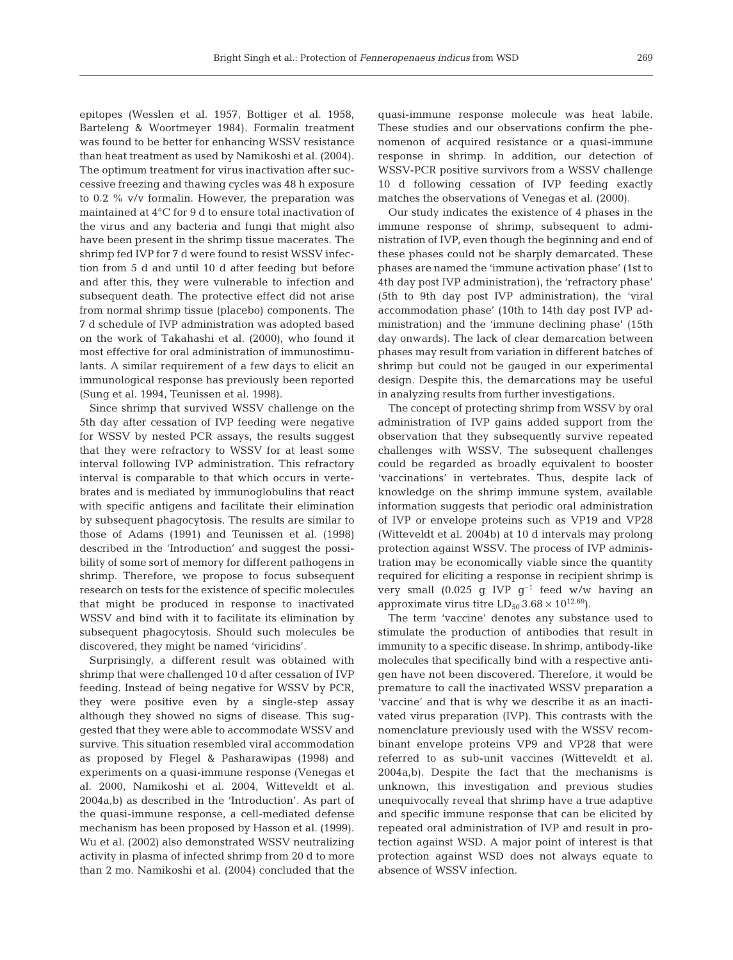epitopes (Wesslen et al. 1957, Bottiger et al. 1958, Barteleng & Woortmeyer 1984). Formalin treatment was found to be better for enhancing WSSV resistance than heat treatment as used by Namikoshi et al. (2004). The optimum treatment for virus inactivation after successive freezing and thawing cycles was 48 h exposure to 0.2 % v/v formalin. However, the preparation was maintained at 4°C for 9 d to ensure total inactivation of the virus and any bacteria and fungi that might also have been present in the shrimp tissue macerates. The shrimp fed IVP for 7 d were found to resist WSSV infection from 5 d and until 10 d after feeding but before and after this, they were vulnerable to infection and subsequent death. The protective effect did not arise from normal shrimp tissue (placebo) components. The 7 d schedule of IVP administration was adopted based on the work of Takahashi et al. (2000), who found it most effective for oral administration of immunostimulants. A similar requirement of a few days to elicit an immunological response has previously been reported (Sung et al. 1994, Teunissen et al. 1998).

Since shrimp that survived WSSV challenge on the 5th day after cessation of IVP feeding were negative for WSSV by nested PCR assays, the results suggest that they were refractory to WSSV for at least some interval following IVP administration. This refractory interval is comparable to that which occurs in vertebrates and is mediated by immunoglobulins that react with specific antigens and facilitate their elimination by subsequent phagocytosis. The results are similar to those of Adams (1991) and Teunissen et al. (1998) described in the 'Introduction' and suggest the possibility of some sort of memory for different pathogens in shrimp. Therefore, we propose to focus subsequent research on tests for the existence of specific molecules that might be produced in response to inactivated WSSV and bind with it to facilitate its elimination by subsequent phagocytosis. Should such molecules be discovered, they might be named 'viricidins'.

Surprisingly, a different result was obtained with shrimp that were challenged 10 d after cessation of IVP feeding. Instead of being negative for WSSV by PCR, they were positive even by a single-step assay although they showed no signs of disease. This suggested that they were able to accommodate WSSV and survive. This situation resembled viral accommodation as proposed by Flegel & Pasharawipas (1998) and experiments on a quasi-immune response (Venegas et al. 2000, Namikoshi et al. 2004, Witteveldt et al. 2004a,b) as described in the 'Introduction'. As part of the quasi-immune response, a cell-mediated defense mechanism has been proposed by Hasson et al. (1999). Wu et al. (2002) also demonstrated WSSV neutralizing activity in plasma of infected shrimp from 20 d to more than 2 mo. Namikoshi et al. (2004) concluded that the

quasi-immune response molecule was heat labile. These studies and our observations confirm the phenomenon of acquired resistance or a quasi-immune response in shrimp. In addition, our detection of WSSV-PCR positive survivors from a WSSV challenge 10 d following cessation of IVP feeding exactly matches the observations of Venegas et al. (2000).

Our study indicates the existence of 4 phases in the immune response of shrimp, subsequent to administration of IVP, even though the beginning and end of these phases could not be sharply demarcated. These phases are named the 'immune activation phase' (1st to 4th day post IVP administration), the 'refractory phase' (5th to 9th day post IVP administration), the 'viral accommodation phase' (10th to 14th day post IVP administration) and the 'immune declining phase' (15th day onwards). The lack of clear demarcation between phases may result from variation in different batches of shrimp but could not be gauged in our experimental design. Despite this, the demarcations may be useful in analyzing results from further investigations.

The concept of protecting shrimp from WSSV by oral administration of IVP gains added support from the observation that they subsequently survive repeated challenges with WSSV. The subsequent challenges could be regarded as broadly equivalent to booster 'vaccinations' in vertebrates. Thus, despite lack of knowledge on the shrimp immune system, available information suggests that periodic oral administration of IVP or envelope proteins such as VP19 and VP28 (Witteveldt et al. 2004b) at 10 d intervals may prolong protection against WSSV. The process of IVP administration may be economically viable since the quantity required for eliciting a response in recipient shrimp is very small (0.025 g IVP  $g^{-1}$  feed w/w having an approximate virus titre  $LD_{50}$  3.68  $\times$  10<sup>12.69</sup>).

The term 'vaccine' denotes any substance used to stimulate the production of antibodies that result in immunity to a specific disease. In shrimp, antibody-like molecules that specifically bind with a respective antigen have not been discovered. Therefore, it would be premature to call the inactivated WSSV preparation a 'vaccine' and that is why we describe it as an inactivated virus preparation (IVP). This contrasts with the nomenclature previously used with the WSSV recombinant envelope proteins VP9 and VP28 that were referred to as sub-unit vaccines (Witteveldt et al. 2004a,b). Despite the fact that the mechanisms is unknown, this investigation and previous studies unequivocally reveal that shrimp have a true adaptive and specific immune response that can be elicited by repeated oral administration of IVP and result in protection against WSD. A major point of interest is that protection against WSD does not always equate to absence of WSSV infection.